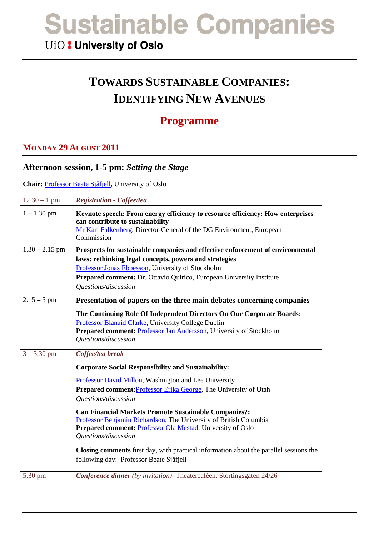## UiO: University of Oslo

# **TOWARDS SUSTAINABLE COMPANIES: IDENTIFYING NEW AVENUES**

## **Programme**

### **MONDAY 29 AUGUST 2011**

#### **Afternoon session, 1-5 pm:** *Setting the Stage*

**Chair:** [Professor Beate Sjåfjell,](http://www.jus.uio.no/ifp/english/people/aca/beatesj/index.html) University of Oslo

| $12.30 - 1$ pm   | <b>Registration - Coffee/tea</b>                                                                                                                                                                                           |
|------------------|----------------------------------------------------------------------------------------------------------------------------------------------------------------------------------------------------------------------------|
| $1 - 1.30$ pm    | Keynote speech: From energy efficiency to resource efficiency: How enterprises<br>can contribute to sustainability<br>Mr Karl Falkenberg, Director-General of the DG Environment, European<br>Commission                   |
| $1.30 - 2.15$ pm | Prospects for sustainable companies and effective enforcement of environmental                                                                                                                                             |
|                  | laws: rethinking legal concepts, powers and strategies                                                                                                                                                                     |
|                  | Professor Jonas Ebbesson, University of Stockholm                                                                                                                                                                          |
|                  | Prepared comment: Dr. Ottavio Quirico, European University Institute<br>Questions/discussion                                                                                                                               |
| $2.15 - 5$ pm    | Presentation of papers on the three main debates concerning companies                                                                                                                                                      |
|                  | The Continuing Role Of Independent Directors On Our Corporate Boards:<br>Professor Blanaid Clarke, University College Dublin<br>Prepared comment: Professor Jan Andersson, University of Stockholm<br>Questions/discussion |
| $3 - 3.30$ pm    | Coffee/tea break                                                                                                                                                                                                           |
|                  | <b>Corporate Social Responsibility and Sustainability:</b>                                                                                                                                                                 |
|                  | Professor David Millon, Washington and Lee University                                                                                                                                                                      |
|                  | <b>Prepared comment:</b> Professor Erika George, The University of Utah                                                                                                                                                    |
|                  | Questions/discussion                                                                                                                                                                                                       |
|                  | <b>Can Financial Markets Promote Sustainable Companies?:</b>                                                                                                                                                               |
|                  | Professor Benjamin Richardson, The University of British Columbia                                                                                                                                                          |
|                  | Prepared comment: <b>Professor Ola Mestad</b> , University of Oslo<br>Questions/discussion                                                                                                                                 |
|                  | Closing comments first day, with practical information about the parallel sessions the<br>following day: Professor Beate Sjåfjell                                                                                          |
| 5.30 pm          | Conference dinner (by invitation)- Theatercaféen, Stortingsgaten 24/26                                                                                                                                                     |